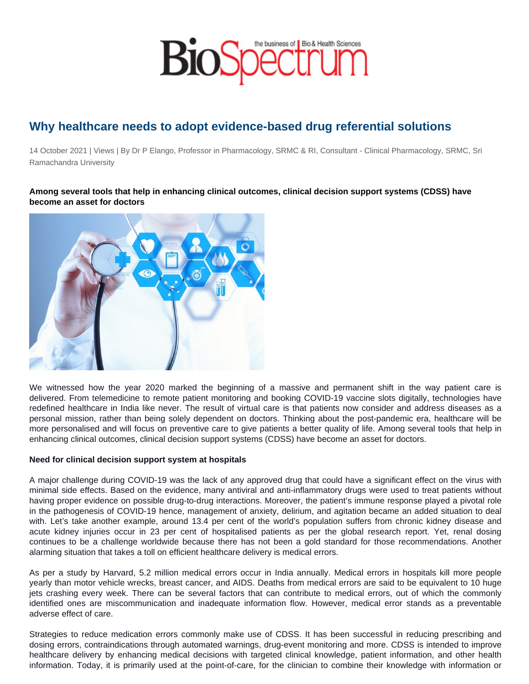## Why healthcare needs to adopt evidence-based drug referential solutions

14 October 2021 | Views | By Dr P Elango, Professor in Pharmacology, SRMC & RI, Consultant - Clinical Pharmacology, SRMC, Sri Ramachandra University

Among several tools that help in enhancing clinical outcomes, clinical decision support systems (CDSS) have become an asset for doctors

We witnessed how the year 2020 marked the beginning of a massive and permanent shift in the way patient care is delivered. From telemedicine to remote patient monitoring and booking COVID-19 vaccine slots digitally, technologies have redefined healthcare in India like never. The result of virtual care is that patients now consider and address diseases as a personal mission, rather than being solely dependent on doctors. Thinking about the post-pandemic era, healthcare will be more personalised and will focus on preventive care to give patients a better quality of life. Among several tools that help in enhancing clinical outcomes, clinical decision support systems (CDSS) have become an asset for doctors.

Need for clinical decision support system at hospitals

A major challenge during COVID-19 was the lack of any approved drug that could have a significant effect on the virus with minimal side effects. Based on the evidence, many antiviral and anti-inflammatory drugs were used to treat patients without having proper evidence on possible drug-to-drug interactions. Moreover, the patient's immune response played a pivotal role in the pathogenesis of COVID-19 hence, management of anxiety, delirium, and agitation became an added situation to deal with. Let's take another example, around 13.4 per cent of the world's population suffers from chronic kidney disease and acute kidney injuries occur in 23 per cent of hospitalised patients as per the global research report. Yet, renal dosing continues to be a challenge worldwide because there has not been a gold standard for those recommendations. Another alarming situation that takes a toll on efficient healthcare delivery is medical errors.

As per a study by Harvard, 5.2 million medical errors occur in India annually. Medical errors in hospitals kill more people yearly than motor vehicle wrecks, breast cancer, and AIDS. Deaths from medical errors are said to be equivalent to 10 huge jets crashing every week. There can be several factors that can contribute to medical errors, out of which the commonly identified ones are miscommunication and inadequate information flow. However, medical error stands as a preventable adverse effect of care.

Strategies to reduce medication errors commonly make use of CDSS. It has been successful in reducing prescribing and dosing errors, contraindications through automated warnings, drug-event monitoring and more. CDSS is intended to improve healthcare delivery by enhancing medical decisions with targeted clinical knowledge, patient information, and other health information. Today, it is primarily used at the point-of-care, for the clinician to combine their knowledge with information or